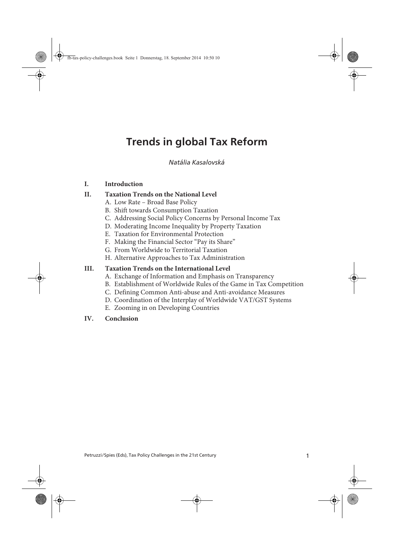# **Trends in global Tax Reform**

Kasalovská Trends in global Tax Reform *Natália Kasalovská*

### **I. Introduction**

### **II. Taxation Trends on the National Level**

- A. Low Rate Broad Base Policy
- B. Shift towards Consumption Taxation
- C. Addressing Social Policy Concerns by Personal Income Tax
- D. Moderating Income Inequality by Property Taxation
- E. Taxation for Environmental Protection
- F. Making the Financial Sector "Pay its Share"
- G. From Worldwide to Territorial Taxation
- H. Alternative Approaches to Tax Administration

### **III. Taxation Trends on the International Level**

- A. Exchange of Information and Emphasis on Transparency
- B. Establishment of Worldwide Rules of the Game in Tax Competition
- C. Defining Common Anti-abuse and Anti-avoidance Measures
- D. Coordination of the Interplay of Worldwide VAT/GST Systems
- E. Zooming in on Developing Countries
- **IV. Conclusion**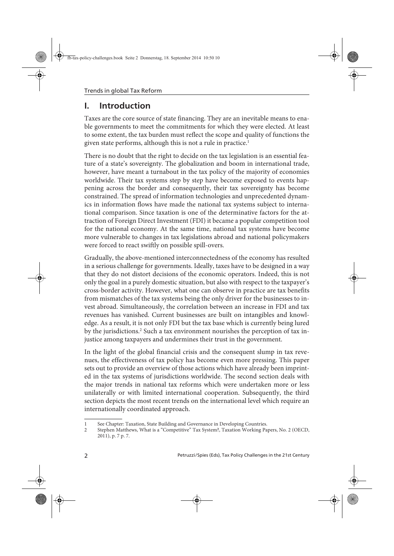# **I. Introduction**

Taxes are the core source of state financing. They are an inevitable means to enable governments to meet the commitments for which they were elected. At least to some extent, the tax burden must reflect the scope and quality of functions the given state performs, although this is not a rule in practice.<sup>1</sup>

There is no doubt that the right to decide on the tax legislation is an essential feature of a state's sovereignty. The globalization and boom in international trade, however, have meant a turnabout in the tax policy of the majority of economies worldwide. Their tax systems step by step have become exposed to events happening across the border and consequently, their tax sovereignty has become constrained. The spread of information technologies and unprecedented dynamics in information flows have made the national tax systems subject to international comparison. Since taxation is one of the determinative factors for the attraction of Foreign Direct Investment (FDI) it became a popular competition tool for the national economy. At the same time, national tax systems have become more vulnerable to changes in tax legislations abroad and national policymakers were forced to react swiftly on possible spill-overs.

Gradually, the above-mentioned interconnectedness of the economy has resulted in a serious challenge for governments. Ideally, taxes have to be designed in a way that they do not distort decisions of the economic operators. Indeed, this is not only the goal in a purely domestic situation, but also with respect to the taxpayer's cross-border activity. However, what one can observe in practice are tax benefits from mismatches of the tax systems being the only driver for the businesses to invest abroad. Simultaneously, the correlation between an increase in FDI and tax revenues has vanished. Current businesses are built on intangibles and knowledge. As a result, it is not only FDI but the tax base which is currently being lured by the jurisdictions.<sup>2</sup> Such a tax environment nourishes the perception of tax injustice among taxpayers and undermines their trust in the government.

In the light of the global financial crisis and the consequent slump in tax revenues, the effectiveness of tax policy has become even more pressing. This paper sets out to provide an overview of those actions which have already been imprinted in the tax systems of jurisdictions worldwide. The second section deals with the major trends in national tax reforms which were undertaken more or less unilaterally or with limited international cooperation. Subsequently, the third section depicts the most recent trends on the international level which require an internationally coordinated approach.

<sup>1</sup> See Chapter: Taxation, State Building and Governance in Developing Countries.<br>2 Stephen Matthews. What is a "Competitive" Tax System?. Taxation Working Pa

Stephen Matthews, What is a "Competitive" Tax System?, Taxation Working Papers, No. 2 (OECD, 2011), p. 7 p. 7.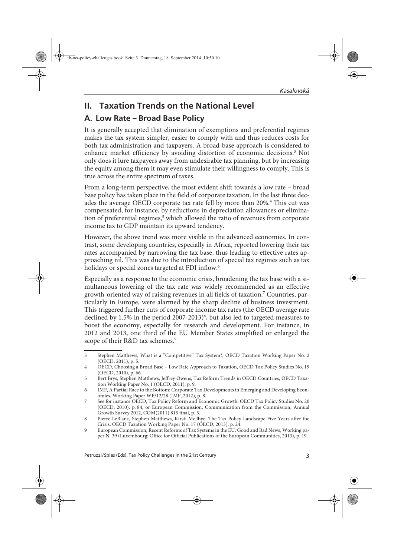# **II. Taxation Trends on the National Level**

### **A. Low Rate – Broad Base Policy**

It is generally accepted that elimination of exemptions and preferential regimes makes the tax system simpler, easier to comply with and thus reduces costs for both tax administration and taxpayers. A broad-base approach is considered to enhance market efficiency by avoiding distortion of economic decisions.3 Not only does it lure taxpayers away from undesirable tax planning, but by increasing the equity among them it may even stimulate their willingness to comply. This is true across the entire spectrum of taxes.

From a long-term perspective, the most evident shift towards a low rate – broad base policy has taken place in the field of corporate taxation. In the last three decades the average OECD corporate tax rate fell by more than 20%.<sup>4</sup> This cut was compensated, for instance, by reductions in depreciation allowances or elimination of preferential regimes,<sup>5</sup> which allowed the ratio of revenues from corporate income tax to GDP maintain its upward tendency.

However, the above trend was more visible in the advanced economies. In contrast, some developing countries, especially in Africa, reported lowering their tax rates accompanied by narrowing the tax base, thus leading to effective rates approaching nil. This was due to the introduction of special tax regimes such as tax holidays or special zones targeted at FDI inflow.<sup>6</sup>

Especially as a response to the economic crisis, broadening the tax base with a simultaneous lowering of the tax rate was widely recommended as an effective growth-oriented way of raising revenues in all fields of taxation.7 Countries, particularly in Europe, were alarmed by the sharp decline of business investment. This triggered further cuts of corporate income tax rates (the OECD average rate declined by 1.5% in the period 2007-2013)<sup>8</sup>, but also led to targeted measures to boost the economy, especially for research and development. For instance, in 2012 and 2013, one third of the EU Member States simplified or enlarged the scope of their R&D tax schemes.<sup>9</sup>

<sup>3</sup> Stephen Matthews, What is a "Competitive" Tax System?, OECD Taxation Working Paper No. 2 (OECD, 2011), p. 5.

<sup>4</sup> OECD, Choosing a Broad Base – Low Rate Approach to Taxation, OECD Tax Policy Studies No. 19 (OECD, 2010), p. 66.

<sup>5</sup> Bert Brys, Stephen Matthews, Jeffrey Owens, Tax Reform Trends in OECD Countries, OECD Taxation Working Paper No. 1 (OECD, 2011), p. 9.

<sup>6</sup> IMF, A Partial Race to the Bottom: Corporate Tax Developments in Emerging and Developing Economies, Working Paper WP/12/28 (IMF, 2012), p. 8.

<sup>7</sup> See for instance OECD, Tax Policy Reform and Economic Growth, OECD Tax Policy Studies No. 20 (OECD, 2010), p. 84, or European Commission, Communication from the Commission, Annual Growth Survey 2012, COM(2011) 815 final, p. 5.

<sup>8</sup> Pierre LeBlanc, Stephen Matthews, Kirsti Mellbye, The Tax Policy Landscape Five Years after the Crisis, OECD Taxation Working Paper No. 17 (OECD, 2013), p. 24.

<sup>9</sup> European Commission, Recent Reforms of Tax Systems in the EU: Good and Bad News, Working paper N. 39 (Luxembourg: Office for Official Publications of the European Communities, 2013), p. 19.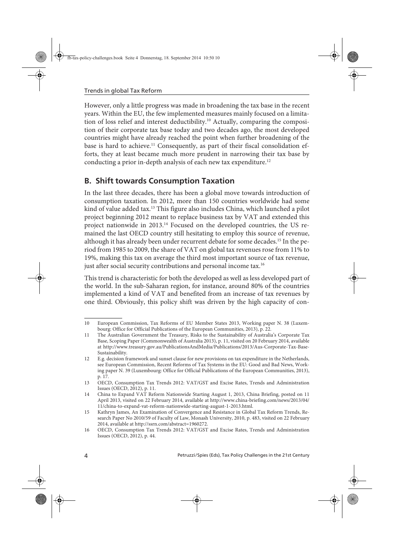However, only a little progress was made in broadening the tax base in the recent years. Within the EU, the few implemented measures mainly focused on a limitation of loss relief and interest deductibility.10 Actually, comparing the composition of their corporate tax base today and two decades ago, the most developed countries might have already reached the point when further broadening of the base is hard to achieve.<sup>11</sup> Consequently, as part of their fiscal consolidation efforts, they at least became much more prudent in narrowing their tax base by conducting a prior in-depth analysis of each new tax expenditure.<sup>12</sup>

## **B. Shift towards Consumption Taxation**

In the last three decades, there has been a global move towards introduction of consumption taxation. In 2012, more than 150 countries worldwide had some kind of value added tax.13 This figure also includes China, which launched a pilot project beginning 2012 meant to replace business tax by VAT and extended this project nationwide in 2013.14 Focused on the developed countries, the US remained the last OECD country still hesitating to employ this source of revenue, although it has already been under recurrent debate for some decades.15 In the period from 1985 to 2009, the share of VAT on global tax revenues rose from 11% to 19%, making this tax on average the third most important source of tax revenue, just after social security contributions and personal income tax.<sup>16</sup>

This trend is characteristic for both the developed as well as less developed part of the world. In the sub-Saharan region, for instance, around 80% of the countries implemented a kind of VAT and benefited from an increase of tax revenues by one third. Obviously, this policy shift was driven by the high capacity of con-

<sup>10</sup> European Commission, Tax Reforms of EU Member States 2013, Working paper N. 38 (Luxembourg: Office for Official Publications of the European Communities, 2013), p. 22.

<sup>11</sup> The Australian Government the Treasury, Risks to the Sustainability of Australia's Corporate Tax Base, Scoping Paper (Commonwealth of Australia 2013), p. 11, visited on 20 February 2014, available at http://www.treasury.gov.au/PublicationsAndMedia/Publications/2013/Aus-Corporate-Tax-Base-Sustainability.

<sup>12</sup> E.g. decision framework and sunset clause for new provisions on tax expenditure in the Netherlands, see European Commission, Recent Reforms of Tax Systems in the EU: Good and Bad News, Working paper N. 39 (Luxembourg: Office for Official Publications of the European Communities, 2013), p. 17.

<sup>13</sup> OECD, Consumption Tax Trends 2012: VAT/GST and Excise Rates, Trends and Administration Issues (OECD, 2012), p. 11.

<sup>14</sup> China to Expand VAT Reform Nationwide Starting August 1, 2013, China Briefing, posted on 11 April 2013, visited on 22 February 2014, available at http://www.china-briefing.com/news/2013/04/ 11/china-to-expand-vat-reform-nationwide-starting-august-1-2013.html.

<sup>15</sup> Kathryn James, An Examination of Convergence and Resistance in Global Tax Reform Trends, Research Paper No 2010/59 of Faculty of Law, Monash University, 2010, p. 483, visited on 22 February 2014, available at http://ssrn.com/abstract=1960272.

<sup>16</sup> OECD, Consumption Tax Trends 2012: VAT/GST and Excise Rates, Trends and Administration Issues (OECD, 2012), p. 44.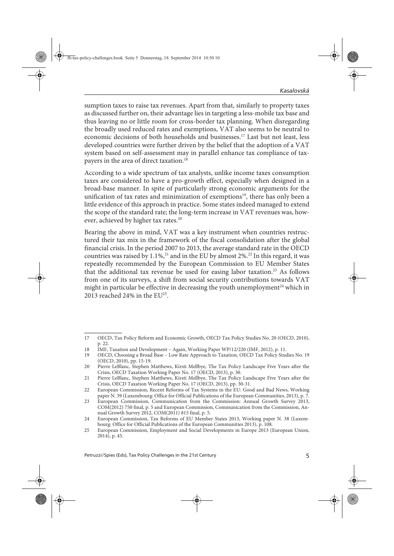sumption taxes to raise tax revenues. Apart from that, similarly to property taxes as discussed further on, their advantage lies in targeting a less-mobile tax base and thus leaving no or little room for cross-border tax planning. When disregarding the broadly used reduced rates and exemptions, VAT also seems to be neutral to economic decisions of both households and businesses.17 Last but not least, less developed countries were further driven by the belief that the adoption of a VAT system based on self-assessment may in parallel enhance tax compliance of taxpayers in the area of direct taxation.<sup>18</sup>

According to a wide spectrum of tax analysts, unlike income taxes consumption taxes are considered to have a pro-growth effect, especially when designed in a broad-base manner. In spite of particularly strong economic arguments for the unification of tax rates and minimization of exemptions<sup>19</sup>, there has only been a little evidence of this approach in practice. Some states indeed managed to extend the scope of the standard rate; the long-term increase in VAT revenues was, however, achieved by higher tax rates.<sup>20</sup>

Bearing the above in mind, VAT was a key instrument when countries restructured their tax mix in the framework of the fiscal consolidation after the global financial crisis. In the period 2007 to 2013, the average standard rate in the OECD countries was raised by  $1.1\%$ ,<sup>21</sup> and in the EU by almost 2%.<sup>22</sup> In this regard, it was repeatedly recommended by the European Commission to EU Member States that the additional tax revenue be used for easing labor taxation.<sup>23</sup> As follows from one of its surveys, a shift from social security contributions towards VAT might in particular be effective in decreasing the youth unemployment<sup>24</sup> which in 2013 reached 24% in the  $EU^{25}$ .

<sup>17</sup> OECD, Tax Policy Reform and Economic Growth, OECD Tax Policy Studies No. 20 (OECD, 2010), p. 22.

<sup>18</sup> IMF, Taxation and Development – Again, Working Paper WP/12/220 (IMF, 2012), p. 11.<br>19 OECD, Choosing a Broad Base – Low Rate Annroach to Taxation, OECD Tax Policy Stud

<sup>19</sup> OECD, Choosing a Broad Base – Low Rate Approach to Taxation, OECD Tax Policy Studies No. 19 (OECD, 2010), pp. 15-19.

<sup>20</sup> Pierre LeBlanc, Stephen Matthews, Kirsti Mellbye, The Tax Policy Landscape Five Years after the Crisis, OECD Taxation Working Paper No. 17 (OECD, 2013), p. 30.

<sup>21</sup> Pierre LeBlanc, Stephen Matthews, Kirsti Mellbye, The Tax Policy Landscape Five Years after the Crisis, OECD Taxation Working Paper No. 17 (OECD, 2013), pp. 30-31.

<sup>22</sup> European Commission, Recent Reforms of Tax Systems in the EU: Good and Bad News, Working paper N. 39 (Luxembourg: Office for Official Publications of the European Communities, 2013), p. 7.

<sup>23</sup> European Commission, Communication from the Commission: Annual Growth Survey 2013, COM(2012) 750 final, p. 5 and European Commission, Communication from the Commission, Annual Growth Survey 2012, COM(2011) 815 final, p. 5.

<sup>24</sup> European Commission, Tax Reforms of EU Member States 2013, Working paper N. 38 (Luxembourg: Office for Official Publications of the European Communities 2013), p. 108.

<sup>25</sup> European Commission, Employment and Social Developments in Europe 2013 (European Union, 2014), p. 45.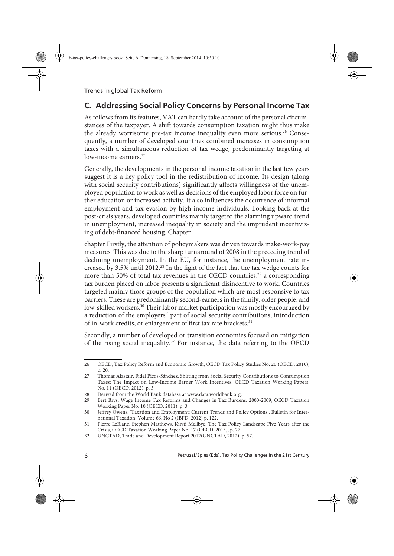# **C. Addressing Social Policy Concerns by Personal Income Tax**

As follows from its features, VAT can hardly take account of the personal circumstances of the taxpayer. A shift towards consumption taxation might thus make the already worrisome pre-tax income inequality even more serious.<sup>26</sup> Consequently, a number of developed countries combined increases in consumption taxes with a simultaneous reduction of tax wedge, predominantly targeting at low-income earners.<sup>27</sup>

Generally, the developments in the personal income taxation in the last few years suggest it is a key policy tool in the redistribution of income. Its design (along with social security contributions) significantly affects willingness of the unemployed population to work as well as decisions of the employed labor force on further education or increased activity. It also influences the occurrence of informal employment and tax evasion by high-income individuals. Looking back at the post-crisis years, developed countries mainly targeted the alarming upward trend in unemployment, increased inequality in society and the imprudent incentivizing of debt-financed housing. Chapter

chapter Firstly, the attention of policymakers was driven towards make-work-pay measures. This was due to the sharp turnaround of 2008 in the preceding trend of declining unemployment. In the EU, for instance, the unemployment rate increased by 3.5% until 2012.28 In the light of the fact that the tax wedge counts for more than 50% of total tax revenues in the OECD countries, $^{29}$  a corresponding tax burden placed on labor presents a significant disincentive to work. Countries targeted mainly those groups of the population which are most responsive to tax barriers. These are predominantly second-earners in the family, older people, and low-skilled workers.<sup>30</sup> Their labor market participation was mostly encouraged by a reduction of the employers´ part of social security contributions, introduction of in-work credits, or enlargement of first tax rate brackets.<sup>31</sup>

Secondly, a number of developed or transition economies focused on mitigation of the rising social inequality.<sup>32</sup> For instance, the data referring to the OECD

<sup>26</sup> OECD, Tax Policy Reform and Economic Growth, OECD Tax Policy Studies No. 20 (OECD, 2010), p. 20.

<sup>27</sup> Thomas Alastair, Fidel Picos-Sánchez, Shifting from Social Security Contributions to Consumption Taxes: The Impact on Low-Income Earner Work Incentives, OECD Taxation Working Papers, No. 11 (OECD, 2012), p. 3.

<sup>28</sup> Derived from the World Bank database at www.data.worldbank.org.<br>29 Bert Brys. Wage Income Tax Reforms and Changes in Tax Burder

<sup>29</sup> Bert Brys, Wage Income Tax Reforms and Changes in Tax Burdens: 2000-2009, OECD Taxation Working Paper No. 10 (OECD, 2011), p. 3.

<sup>30</sup> Jeffrey Owens, 'Taxation and Employment: Current Trends and Policy Options', Bulletin for International Taxation, Volume 66, No 2 (IBFD, 2012) p. 122.

<sup>31</sup> Pierre LeBlanc, Stephen Matthews, Kirsti Mellbye, The Tax Policy Landscape Five Years after the Crisis, OECD Taxation Working Paper No. 17 (OECD, 2013), p. 27.

<sup>32</sup> UNCTAD, Trade and Development Report 2012(UNCTAD, 2012), p. 57.